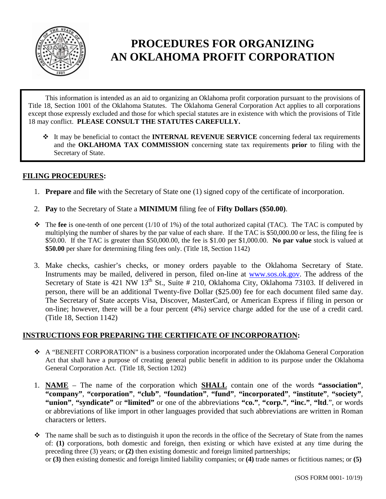

# **PROCEDURES FOR ORGANIZING AN OKLAHOMA PROFIT CORPORATION**

 This information is intended as an aid to organizing an Oklahoma profit corporation pursuant to the provisions of Title 18, Section 1001 of the Oklahoma Statutes. The Oklahoma General Corporation Act applies to all corporations except those expressly excluded and those for which special statutes are in existence with which the provisions of Title 18 may conflict. **PLEASE CONSULT THE STATUTES CAREFULLY.** 

 It may be beneficial to contact the **INTERNAL REVENUE SERVICE** concerning federal tax requirements and the **OKLAHOMA TAX COMMISSION** concerning state tax requirements **prior** to filing with the Secretary of State.

### **FILING PROCEDURES:**

- 1. **Prepare** and **file** with the Secretary of State one (1) signed copy of the certificate of incorporation.
- 2. **Pay** to the Secretary of State a **MINIMUM** filing fee of **Fifty Dollars (\$50.00)**.
- $\bullet$  The **fee** is one-tenth of one percent (1/10 of 1%) of the total authorized capital (TAC). The TAC is computed by multiplying the number of shares by the par value of each share. If the TAC is \$50,000.00 or less, the filing fee is \$50.00. If the TAC is greater than \$50,000.00, the fee is \$1.00 per \$1,000.00. **No par value** stock is valued at **\$50.00** per share for determining filing fees only. (Title 18, Section 1142)
- 3. Make checks, cashier's checks, or money orders payable to the Oklahoma Secretary of State. Instruments may be mailed, delivered in person, filed on-line at [www.sos.ok.gov.](http://www.sos.ok.gov/) The address of the Secretary of State is 421 NW 13<sup>th</sup> St., Suite # 210, Oklahoma City, Oklahoma 73103. If delivered in person, there will be an additional Twenty-five Dollar (\$25.00) fee for each document filed same day. The Secretary of State accepts Visa, Discover, MasterCard, or American Express if filing in person or on-line; however, there will be a four percent (4%) service charge added for the use of a credit card. (Title 18, Section 1142)

### **INSTRUCTIONS FOR PREPARING THE CERTIFICATE OF INCORPORATION:**

- $\triangle$  A "BENEFIT CORPORATION" is a business corporation incorporated under the Oklahoma General Corporation Act that shall have a purpose of creating general public benefit in addition to its purpose under the Oklahoma General Corporation Act. (Title 18, Section 1202)
- 1. **NAME**  The name of the corporation which **SHALL** contain one of the words **"association"**, **"company"**, **"corporation"**, **"club"**, **"foundation"**, **"fund"**, **"incorporated"**, **"institute"**, **"society"**, **"union"**, **"syndicate"** or **"limited"** or one of the abbreviations **"co."**, **"corp."**, **"inc."**, **"ltd**.", or words or abbreviations of like import in other languages provided that such abbreviations are written in Roman characters or letters.
- $\hat{\cdot}$  The name shall be such as to distinguish it upon the records in the office of the Secretary of State from the names of: **(1)** corporations, both domestic and foreign, then existing or which have existed at any time during the preceding three (3) years; or **(2)** then existing domestic and foreign limited partnerships; or **(3)** then existing domestic and foreign limited liability companies; or **(4)** trade names or fictitious names; or **(5)**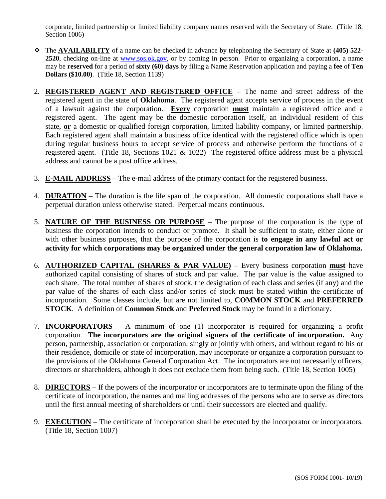corporate, limited partnership or limited liability company names reserved with the Secretary of State. (Title 18, Section 1006)

- The **AVAILABILITY** of a name can be checked in advance by telephoning the Secretary of State at **(405) 522- 2520**, checking on-line at [www.sos.ok.gov,](http://www.sos.ok.gov/) or by coming in person. Prior to organizing a corporation, a name may be **reserved** for a period of **sixty (60) days** by filing a Name Reservation application and paying a **fee** of **Ten Dollars (\$10.00)**. (Title 18, Section 1139)
- 2. **REGISTERED AGENT AND REGISTERED OFFICE**  The name and street address of the registered agent in the state of **Oklahoma**. The registered agent accepts service of process in the event of a lawsuit against the corporation. **Every** corporation **must** maintain a registered office and a registered agent. The agent may be the domestic corporation itself, an individual resident of this state, **or** a domestic or qualified foreign corporation, limited liability company, or limited partnership. Each registered agent shall maintain a business office identical with the registered office which is open during regular business hours to accept service of process and otherwise perform the functions of a registered agent. (Title 18, Sections 1021 & 1022) The registered office address must be a physical address and cannot be a post office address.
- 3. **E-MAIL ADDRESS** The e-mail address of the primary contact for the registered business.
- 4. **DURATION**  The duration is the life span of the corporation. All domestic corporations shall have a perpetual duration unless otherwise stated. Perpetual means continuous.
- 5. **NATURE OF THE BUSINESS OR PURPOSE**  The purpose of the corporation is the type of business the corporation intends to conduct or promote. It shall be sufficient to state, either alone or with other business purposes, that the purpose of the corporation is **to engage in any lawful act or activity for which corporations may be organized under the general corporation law of Oklahoma.**
- 6. **AUTHORIZED CAPITAL (SHARES & PAR VALUE)**  Every business corporation **must** have authorized capital consisting of shares of stock and par value. The par value is the value assigned to each share. The total number of shares of stock, the designation of each class and series (if any) and the par value of the shares of each class and/or series of stock must be stated within the certificate of incorporation. Some classes include, but are not limited to, **COMMON STOCK** and **PREFERRED STOCK**. A definition of **Common Stock** and **Preferred Stock** may be found in a dictionary.
- 7. **INCORPORATORS**  A minimum of one (1) incorporator is required for organizing a profit corporation. **The incorporators are the original signers of the certificate of incorporation.** Any person, partnership, association or corporation, singly or jointly with others, and without regard to his or their residence, domicile or state of incorporation, may incorporate or organize a corporation pursuant to the provisions of the Oklahoma General Corporation Act. The incorporators are not necessarily officers, directors or shareholders, although it does not exclude them from being such. (Title 18, Section 1005)
- 8. **DIRECTORS**  If the powers of the incorporator or incorporators are to terminate upon the filing of the certificate of incorporation, the names and mailing addresses of the persons who are to serve as directors until the first annual meeting of shareholders or until their successors are elected and qualify.
- 9. **EXECUTION**  The certificate of incorporation shall be executed by the incorporator or incorporators. (Title 18, Section 1007)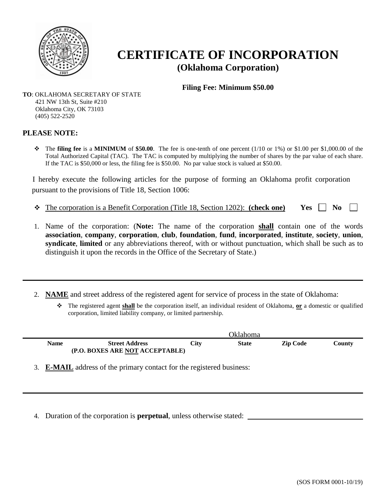

# **CERTIFICATE OF INCORPORATION (Oklahoma Corporation)**

**Filing Fee: Minimum \$50.00** 

**TO**: OKLAHOMA SECRETARY OF STATE 421 NW 13th St, Suite #210 Oklahoma City, OK 73103 (405) 522-2520

#### **PLEASE NOTE:**

 The **filing fee** is a **MINIMUM** of **\$50.00**. The fee is one-tenth of one percent (1/10 or 1%) or \$1.00 per \$1,000.00 of the Total Authorized Capital (TAC). The TAC is computed by multiplying the number of shares by the par value of each share. If the TAC is \$50,000 or less, the filing fee is \$50.00. No par value stock is valued at \$50.00.

I hereby execute the following articles for the purpose of forming an Oklahoma profit corporation pursuant to the provisions of Title 18, Section 1006:

- $\div$  The corporation is a Benefit Corporation (Title 18, Section 1202): **(check one)** Yes  $\Box$  No
- 1. Name of the corporation: (**Note:** The name of the corporation **shall** contain one of the words **association**, **company**, **corporation**, **club**, **foundation**, **fund**, **incorporated**, **institute**, **society**, **union**, **syndicate**, **limited** or any abbreviations thereof, with or without punctuation, which shall be such as to distinguish it upon the records in the Office of the Secretary of State.)
- 2. **NAME** and street address of the registered agent for service of process in the state of Oklahoma:
	- The registered agent **shall** be the corporation itself, an individual resident of Oklahoma, **or** a domestic or qualified corporation, limited liability company, or limited partnership.

|      | <b>Oklahoma</b>                                          |      |              |                 |        |
|------|----------------------------------------------------------|------|--------------|-----------------|--------|
| Name | <b>Street Address</b><br>(P.O. BOXES ARE NOT ACCEPTABLE) | City | <b>State</b> | <b>Zip Code</b> | County |

3. **E-MAIL** address of the primary contact for the registered business:

4. Duration of the corporation is **perpetual**, unless otherwise stated: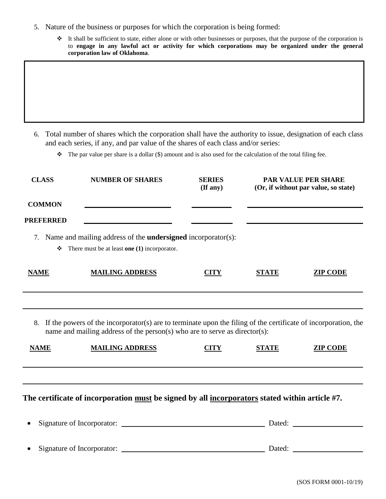- 5. Nature of the business or purposes for which the corporation is being formed:
	- $\bullet$  It shall be sufficient to state, either alone or with other businesses or purposes, that the purpose of the corporation is to **engage in any lawful act or activity for which corporations may be organized under the general corporation law of Oklahoma**.

6. Total number of shares which the corporation shall have the authority to issue, designation of each class and each series, if any, and par value of the shares of each class and/or series:

 $\bullet$  The par value per share is a dollar (\$) amount and is also used for the calculation of the total filing fee.

| <b>CLASS</b>     | <b>NUMBER OF SHARES</b>                                                                                               | <b>SERIES</b><br>(If any) | <b>PAR VALUE PER SHARE</b><br>(Or, if without par value, so state) |                 |
|------------------|-----------------------------------------------------------------------------------------------------------------------|---------------------------|--------------------------------------------------------------------|-----------------|
| <b>COMMON</b>    |                                                                                                                       |                           |                                                                    |                 |
| <b>PREFERRED</b> |                                                                                                                       |                           |                                                                    |                 |
| 7.<br>❖          | Name and mailing address of the <b>undersigned</b> incorporator(s):<br>There must be at least one $(1)$ incorporator. |                           |                                                                    |                 |
| <b>NAME</b>      | <b>MAILING ADDRESS</b>                                                                                                | CITY                      | <b>STATE</b>                                                       | <b>ZIP CODE</b> |

8. If the powers of the incorporator(s) are to terminate upon the filing of the certificate of incorporation, the name and mailing address of the person(s) who are to serve as director(s):

| <b>NAME</b> | <b>MAILING ADDRESS</b> | <b>CITY</b> | STATE | <b>ZIP CODE</b> |
|-------------|------------------------|-------------|-------|-----------------|
|             |                        |             |       |                 |

## **The certificate of incorporation must be signed by all incorporators stated within article #7.**

| $\bullet$ | Signature of Incorporator: | Dated: |  |
|-----------|----------------------------|--------|--|
|           |                            |        |  |
| $\bullet$ | Signature of Incorporator: | Dated: |  |